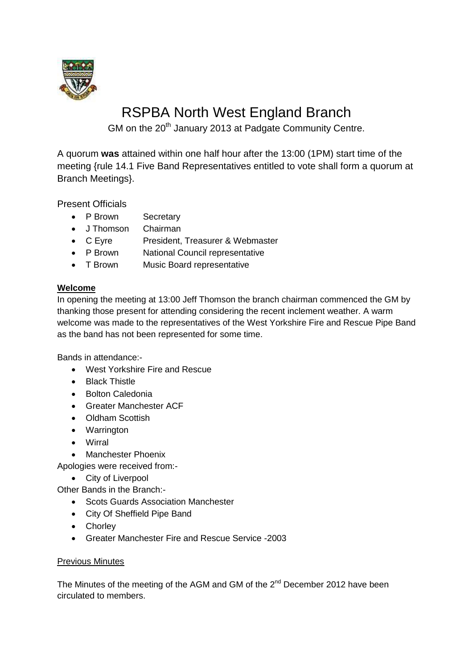

# RSPBA North West England Branch

GM on the 20<sup>th</sup> January 2013 at Padgate Community Centre.

A quorum **was** attained within one half hour after the 13:00 (1PM) start time of the meeting {rule 14.1 Five Band Representatives entitled to vote shall form a quorum at Branch Meetings}.

Present Officials

- P Brown Secretary
- J Thomson Chairman
- C Eyre President, Treasurer & Webmaster<br>• P Brown National Council representative
- **National Council representative**
- T Brown Music Board representative

## **Welcome**

In opening the meeting at 13:00 Jeff Thomson the branch chairman commenced the GM by thanking those present for attending considering the recent inclement weather. A warm welcome was made to the representatives of the West Yorkshire Fire and Rescue Pipe Band as the band has not been represented for some time.

Bands in attendance:-

- West Yorkshire Fire and Rescue
- Black Thistle
- Bolton Caledonia
- Greater Manchester ACF
- Oldham Scottish
- Warrington
- Wirral
- Manchester Phoenix

Apologies were received from:-

• City of Liverpool

Other Bands in the Branch:-

- Scots Guards Association Manchester
- City Of Sheffield Pipe Band
- Chorley
- Greater Manchester Fire and Rescue Service -2003

## Previous Minutes

The Minutes of the meeting of the AGM and GM of the 2<sup>nd</sup> December 2012 have been circulated to members.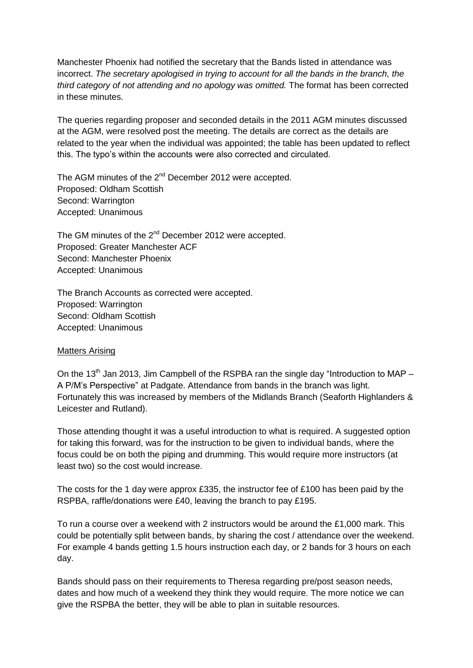Manchester Phoenix had notified the secretary that the Bands listed in attendance was incorrect. *The secretary apologised in trying to account for all the bands in the branch, the third category of not attending and no apology was omitted.* The format has been corrected in these minutes.

The queries regarding proposer and seconded details in the 2011 AGM minutes discussed at the AGM, were resolved post the meeting. The details are correct as the details are related to the year when the individual was appointed; the table has been updated to reflect this. The typo's within the accounts were also corrected and circulated.

The AGM minutes of the 2<sup>nd</sup> December 2012 were accepted. Proposed: Oldham Scottish Second: Warrington Accepted: Unanimous

The GM minutes of the 2<sup>nd</sup> December 2012 were accepted. Proposed: Greater Manchester ACF Second: Manchester Phoenix Accepted: Unanimous

The Branch Accounts as corrected were accepted. Proposed: Warrington Second: Oldham Scottish Accepted: Unanimous

## Matters Arising

On the 13<sup>th</sup> Jan 2013, Jim Campbell of the RSPBA ran the single day "Introduction to MAP – A P/M's Perspective" at Padgate. Attendance from bands in the branch was light. Fortunately this was increased by members of the Midlands Branch (Seaforth Highlanders & Leicester and Rutland).

Those attending thought it was a useful introduction to what is required. A suggested option for taking this forward, was for the instruction to be given to individual bands, where the focus could be on both the piping and drumming. This would require more instructors (at least two) so the cost would increase.

The costs for the 1 day were approx £335, the instructor fee of £100 has been paid by the RSPBA, raffle/donations were £40, leaving the branch to pay £195.

To run a course over a weekend with 2 instructors would be around the £1,000 mark. This could be potentially split between bands, by sharing the cost / attendance over the weekend. For example 4 bands getting 1.5 hours instruction each day, or 2 bands for 3 hours on each day.

Bands should pass on their requirements to Theresa regarding pre/post season needs, dates and how much of a weekend they think they would require. The more notice we can give the RSPBA the better, they will be able to plan in suitable resources.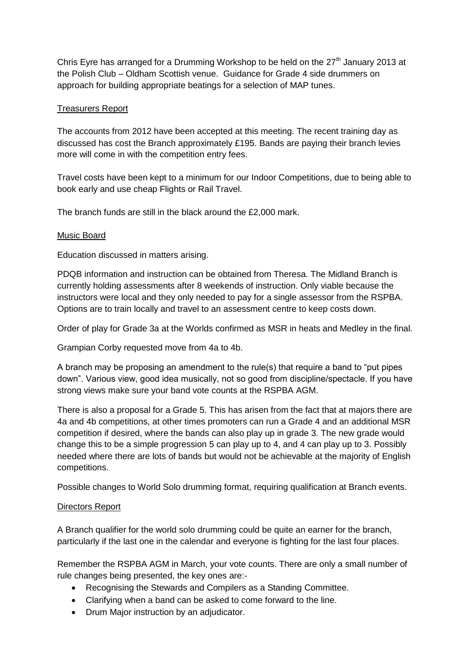Chris Eyre has arranged for a Drumming Workshop to be held on the  $27<sup>th</sup>$  January 2013 at the Polish Club – Oldham Scottish venue. Guidance for Grade 4 side drummers on approach for building appropriate beatings for a selection of MAP tunes.

# Treasurers Report

The accounts from 2012 have been accepted at this meeting. The recent training day as discussed has cost the Branch approximately £195. Bands are paying their branch levies more will come in with the competition entry fees.

Travel costs have been kept to a minimum for our Indoor Competitions, due to being able to book early and use cheap Flights or Rail Travel.

The branch funds are still in the black around the £2,000 mark.

## Music Board

Education discussed in matters arising.

PDQB information and instruction can be obtained from Theresa. The Midland Branch is currently holding assessments after 8 weekends of instruction. Only viable because the instructors were local and they only needed to pay for a single assessor from the RSPBA. Options are to train locally and travel to an assessment centre to keep costs down.

Order of play for Grade 3a at the Worlds confirmed as MSR in heats and Medley in the final.

Grampian Corby requested move from 4a to 4b.

A branch may be proposing an amendment to the rule(s) that require a band to "put pipes down". Various view, good idea musically, not so good from discipline/spectacle. If you have strong views make sure your band vote counts at the RSPBA AGM.

There is also a proposal for a Grade 5. This has arisen from the fact that at majors there are 4a and 4b competitions, at other times promoters can run a Grade 4 and an additional MSR competition if desired, where the bands can also play up in grade 3. The new grade would change this to be a simple progression 5 can play up to 4, and 4 can play up to 3. Possibly needed where there are lots of bands but would not be achievable at the majority of English competitions.

Possible changes to World Solo drumming format, requiring qualification at Branch events.

## Directors Report

A Branch qualifier for the world solo drumming could be quite an earner for the branch, particularly if the last one in the calendar and everyone is fighting for the last four places.

Remember the RSPBA AGM in March, your vote counts. There are only a small number of rule changes being presented, the key ones are:-

- Recognising the Stewards and Compilers as a Standing Committee.
- Clarifying when a band can be asked to come forward to the line.
- Drum Major instruction by an adjudicator.